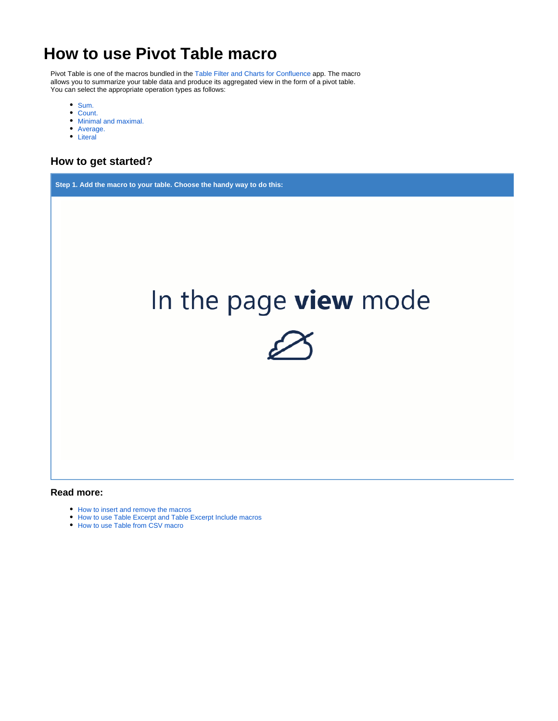# **How to use Pivot Table macro**

Pivot Table is one of the macros bundled in the [Table Filter and Charts for Confluence](https://marketplace.atlassian.com/apps/27447/table-filter-and-charts-for-confluence?hosting=server&tab=overview&from=documentation) app. The macro allows you to summarize your table data and produce its aggregated view in the form of a pivot table. You can select the appropriate operation types as follows:

- [Sum.](https://docs.stiltsoft.com/display/TFAC/Configuring+the+pivot+table#Configuringthepivottable-Sum)
- [Count.](https://docs.stiltsoft.com/display/TFAC/Configuring+the+pivot+table#Configuringthepivottable-Count)
- [Minimal and maximal.](https://docs.stiltsoft.com/display/TFAC/Configuring+the+pivot+table#Configuringthepivottable-Min/Max)
- [Average.](https://docs.stiltsoft.com/display/TFAC/Configuring+the+pivot+table#Configuringthepivottable-Average)
- [Literal](https://docs.stiltsoft.com/display/TFAC/Configuring+the+pivot+table#Configuringthepivottable-Literal)

# **How to get started?**

**Step 1. Add the macro to your table. Choose the handy way to do this:** In the page view mode

### **Read more:**

- [How to insert and remove the macros](https://docs.stiltsoft.com/display/TFAC/How+to+insert+and+remove+the+macros)
- [How to use Table Excerpt and Table Excerpt Include macros](https://docs.stiltsoft.com/display/TFAC/How+to+use+Table+Excerpt+and+Table+Excerpt+Include+macros)
- [How to use Table from CSV macro](https://docs.stiltsoft.com/display/TFAC/How+to+use+Table+from+CSV+macro)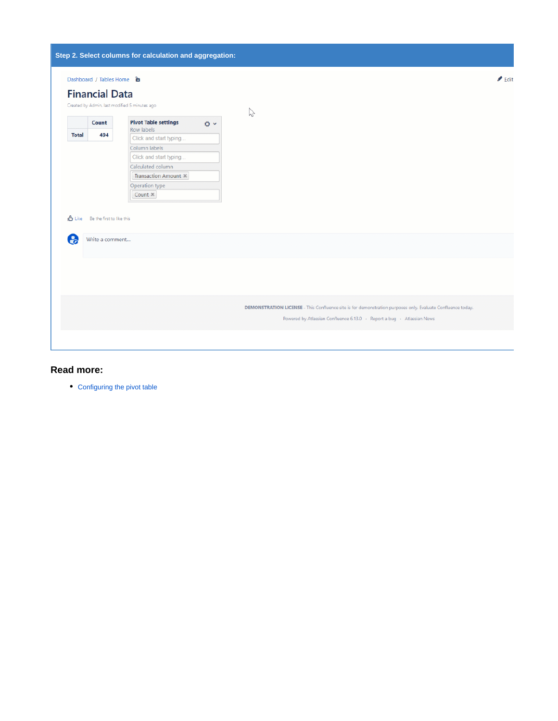|                    |                                                         | Step 2. Select columns for calculation and aggregation: |                                                                                                             |                            |  |
|--------------------|---------------------------------------------------------|---------------------------------------------------------|-------------------------------------------------------------------------------------------------------------|----------------------------|--|
|                    | Dashboard / Tables Home a                               |                                                         |                                                                                                             | $\blacktriangleright$ Edit |  |
|                    | <b>Financial Data</b>                                   |                                                         |                                                                                                             |                            |  |
|                    |                                                         | Created by Admin. last modified 5 minutes ago           |                                                                                                             |                            |  |
|                    | <b>Pivot Table settings</b><br>Count<br>$\circ$ $\circ$ |                                                         | P                                                                                                           |                            |  |
| <b>Total</b>       | 494                                                     | Row labels                                              |                                                                                                             |                            |  |
|                    |                                                         | Click and start typing                                  |                                                                                                             |                            |  |
|                    |                                                         | Column labels                                           |                                                                                                             |                            |  |
|                    |                                                         | Click and start typing                                  |                                                                                                             |                            |  |
|                    |                                                         | Calculated column                                       |                                                                                                             |                            |  |
|                    |                                                         | Transaction Amount X                                    |                                                                                                             |                            |  |
|                    |                                                         | Operation type                                          |                                                                                                             |                            |  |
|                    |                                                         | Count ×                                                 |                                                                                                             |                            |  |
| <b>B</b> Like<br>ေ | Be the first to like this<br>Write a comment            |                                                         |                                                                                                             |                            |  |
|                    |                                                         |                                                         |                                                                                                             |                            |  |
|                    |                                                         |                                                         | DEMONSTRATION LICENSE - This Confluence site is for demonstration purposes only. Evaluate Confluence today. |                            |  |
|                    |                                                         |                                                         | Powered by Atlassian Confluence 6.13.0 · Report a bug · Atlassian News                                      |                            |  |
|                    |                                                         |                                                         |                                                                                                             |                            |  |

# **Read more:**

[Configuring the pivot table](https://docs.stiltsoft.com/display/TFAC/Configuring+the+pivot+table)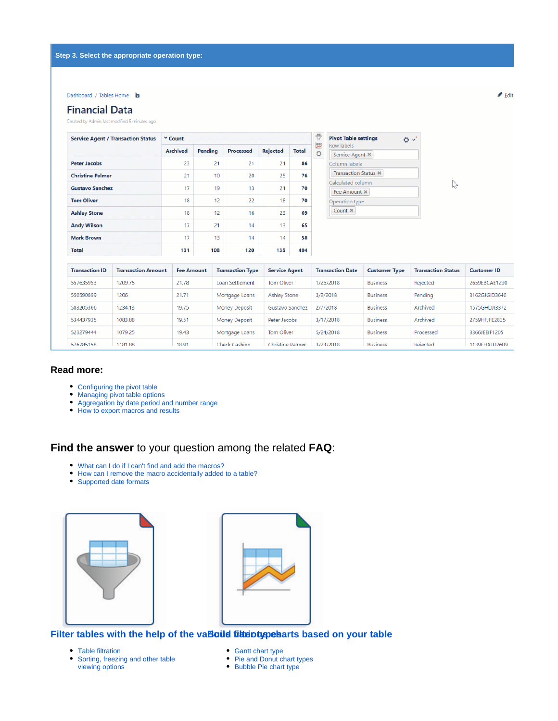#### Dashboard / Tables Home **a**

## **Financial Data**

Created by Admin. last modified 5 minutes ago

| <b>Service Agent / Transaction Status</b> | Y Count         |         |           |                 |              |  |  |
|-------------------------------------------|-----------------|---------|-----------|-----------------|--------------|--|--|
|                                           | <b>Archived</b> | Pending | Processed | <b>Rejected</b> | <b>Total</b> |  |  |
| <b>Peter Jacobs</b>                       | 23              | 21      | 21        | 21              | 86           |  |  |
| <b>Christine Palmer</b>                   | 21              | 10      | 20        | 25              | 76           |  |  |
| <b>Gustavo Sanchez</b>                    | 17              | 19      | 13        | 21              | 70           |  |  |
| <b>Tom Oliver</b>                         | 18              | 12      | 22        | 18              | 70           |  |  |
| <b>Ashley Stone</b>                       | 18              | 12      | 16        | 23              | 69           |  |  |
| <b>Andy Wilson</b>                        | 17              | 21      | 14        | 1 <sub>3</sub>  | 65           |  |  |
| <b>Mark Brown</b>                         | 17              | 13      | 14        | 14              | 58           |  |  |
| <b>Total</b>                              | 131             | 108     | 120       | 135             | 494          |  |  |

| <b>Pivot Table settings</b><br>Row labels |  |
|-------------------------------------------|--|
| Service Agent $\times$                    |  |
| Column labels                             |  |
| <b>Transaction Status ×</b>               |  |
| Calculated column                         |  |
| Fee Amount X                              |  |
| Operation type                            |  |
| Count $\times$                            |  |

| <b>Transaction ID</b> | <b>Transaction Amount</b> | <b>Fee Amount</b> | <b>Transaction Type</b> | <b>Service Agent</b> | <b>Transaction Date</b> | <b>Customer Type</b> | <b>Transaction Status</b> | <b>Customer ID</b> |
|-----------------------|---------------------------|-------------------|-------------------------|----------------------|-------------------------|----------------------|---------------------------|--------------------|
| 557635953             | 1209.75                   | 21.78             | Loan Settlement         | Tom Oliver           | 1/26/2018               | <b>Business</b>      | Rejected                  | 2659EBCAE1290      |
| 550590899             | 1206                      | 21.71             | Mortgage Loans          | <b>Ashley Stone</b>  | 3/2/2018                | <b>Business</b>      | Pendina                   | 3162GJGID3640      |
| 583205366             | 1234.13                   | 19.75             | <b>Money Deposit</b>    | Gustavo Sanchez      | 2/7/2018                | <b>Business</b>      | Archived                  | 1575GHDJI3372      |
| 534437935             | 1083.88                   | 19.51             | Money Deposit           | Peter Jacobs         | 3/17/2018               | <b>Business</b>      | Archived                  | 2759HFJFF2835      |
| 523279444             | 1079.25                   | 19.43             | Mortgage Loans          | Tom Oliver           | 5/24/2018               | <b>Business</b>      | Processed                 | 3366JEEIF1205      |
| 576785158             | 1181.88                   | 18.91             | Check Cashing           | Christine Palmer     | 3/23/2018               | <b>Business</b>      | Rejected                  | 1139FHAJD2609      |

## **Read more:**

- [Configuring the pivot table](https://docs.stiltsoft.com/display/TFAC/Configuring+the+pivot+table)
- [Managing pivot table options](https://docs.stiltsoft.com/display/TFAC/Managing+pivot+table+options)
- [Aggregation by date period and number range](https://docs.stiltsoft.com/display/TFAC/Aggregation+by+date+period+and+number+range)
- [How to export macros and results](https://docs.stiltsoft.com/display/TFAC/How+to+export+macros+and+results)

# **Find the answer** to your question among the related **FAQ**:

- [What can I do if I can't find and add the macros?](https://docs.stiltsoft.com/display/TFAC/FAQ#FAQ-WhatcanIdoifIcan)
- [How can I remove the macro accidentally added to a table?](https://docs.stiltsoft.com/display/TFAC/FAQ#FAQ-HowcanIremovethemacroaccidentallyaddedtoatable?)
- [Supported date formats](https://docs.stiltsoft.com/display/TFAC/FAQ#FAQ-Whatarethesupporteddateformats?)





## Filter tables with the help of the va**Baild filter types** arts based on your table

- [Table filtration](https://docs.stiltsoft.com/display/TFAC/Table+filtration)
- Sorting, freezing and other table [viewing options](https://docs.stiltsoft.com/display/TFAC/Sorting%2C+freezing+and+other+table+viewing+options)
- [Gantt chart type](https://docs.stiltsoft.com/display/TFAC/Gantt+chart+type)
- [Pie and Donut chart types](https://docs.stiltsoft.com/display/TFAC/Pie+and+Donut+chart+types)
- [Bubble Pie chart type](https://docs.stiltsoft.com/display/TFAC/Bubble+Pie+chart+type)

 $\blacktriangleright$  Edit

 $\triangledown$